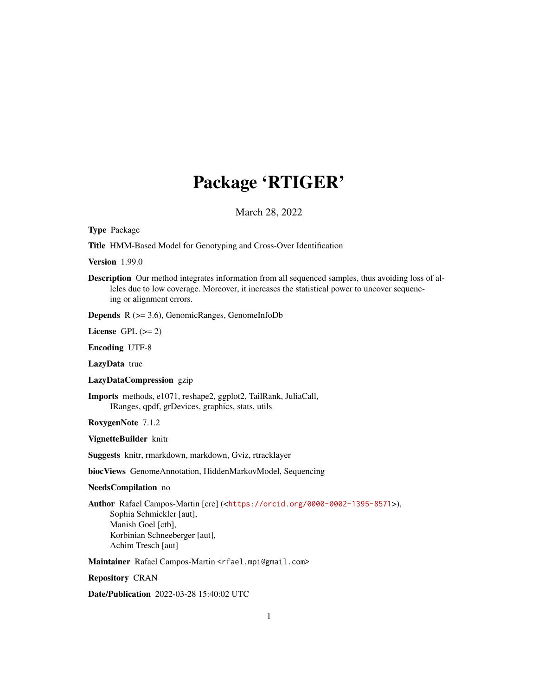## Package 'RTIGER'

March 28, 2022

Type Package

Title HMM-Based Model for Genotyping and Cross-Over Identification

Version 1.99.0

Description Our method integrates information from all sequenced samples, thus avoiding loss of alleles due to low coverage. Moreover, it increases the statistical power to uncover sequencing or alignment errors.

Depends R (>= 3.6), GenomicRanges, GenomeInfoDb

License GPL  $(>= 2)$ 

Encoding UTF-8

LazyData true

LazyDataCompression gzip

Imports methods, e1071, reshape2, ggplot2, TailRank, JuliaCall, IRanges, qpdf, grDevices, graphics, stats, utils

RoxygenNote 7.1.2

VignetteBuilder knitr

Suggests knitr, rmarkdown, markdown, Gviz, rtracklayer

biocViews GenomeAnnotation, HiddenMarkovModel, Sequencing

NeedsCompilation no

Author Rafael Campos-Martin [cre] (<<https://orcid.org/0000-0002-1395-8571>>), Sophia Schmickler [aut], Manish Goel [ctb], Korbinian Schneeberger [aut], Achim Tresch [aut]

Maintainer Rafael Campos-Martin <rfael.mpi@gmail.com>

Repository CRAN

Date/Publication 2022-03-28 15:40:02 UTC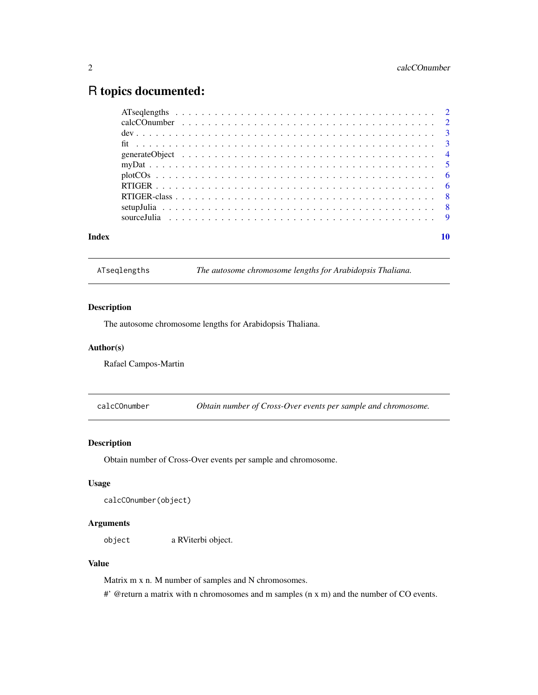### <span id="page-1-0"></span>R topics documented:

ATseqlengths *The autosome chromosome lengths for Arabidopsis Thaliana.*

#### Description

The autosome chromosome lengths for Arabidopsis Thaliana.

#### Author(s)

Rafael Campos-Martin

calcCOnumber *Obtain number of Cross-Over events per sample and chromosome.*

#### Description

Obtain number of Cross-Over events per sample and chromosome.

#### Usage

```
calcCOnumber(object)
```
#### Arguments

object a RViterbi object.

#### Value

Matrix m x n. M number of samples and N chromosomes.

#' @return a matrix with n chromosomes and m samples (n x m) and the number of CO events.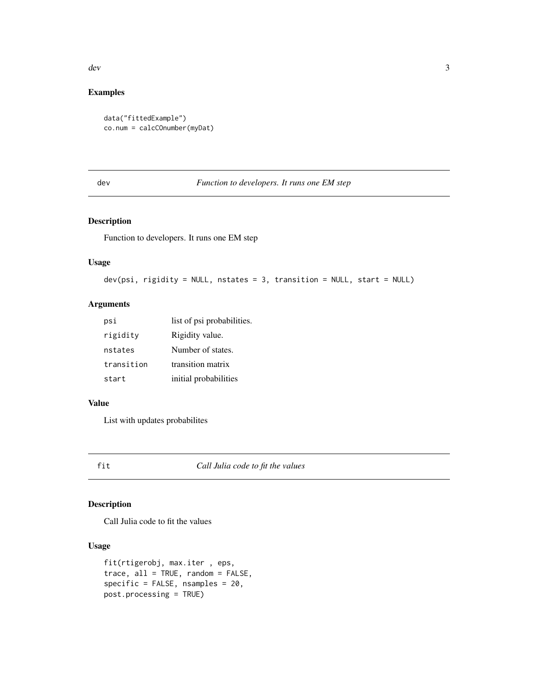<span id="page-2-0"></span>dev 3

#### Examples

```
data("fittedExample")
co.num = calcCOnumber(myDat)
```
#### dev *Function to developers. It runs one EM step*

#### Description

Function to developers. It runs one EM step

#### Usage

```
dev(psi, rigidity = NULL, nstates = 3, transition = NULL, start = NULL)
```
#### Arguments

| psi        | list of psi probabilities. |
|------------|----------------------------|
| rigidity   | Rigidity value.            |
| nstates    | Number of states.          |
| transition | transition matrix          |
| start      | initial probabilities      |

#### Value

List with updates probabilites

#### Description

Call Julia code to fit the values

#### Usage

```
fit(rtigerobj, max.iter , eps,
trace, all = TRUE, random = FALSE,
specific = FALSE, nsamples = 20,
post.processing = TRUE)
```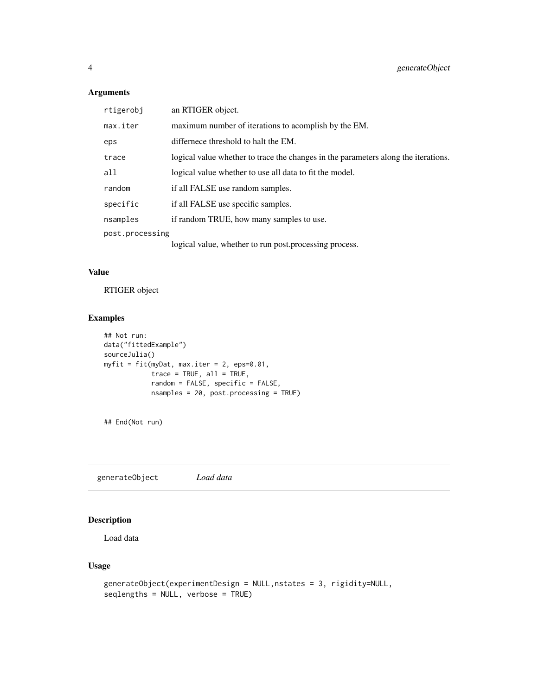#### Arguments

| rtigerobj       | an RTIGER object.                                                                  |
|-----------------|------------------------------------------------------------------------------------|
| max.iter        | maximum number of iterations to acomplish by the EM.                               |
| eps             | differnece threshold to halt the EM.                                               |
| trace           | logical value whether to trace the changes in the parameters along the iterations. |
| all             | logical value whether to use all data to fit the model.                            |
| random          | if all FALSE use random samples.                                                   |
| specific        | if all FALSE use specific samples.                                                 |
| nsamples        | if random TRUE, how many samples to use.                                           |
| post.processing |                                                                                    |
|                 | logical value, whether to run post.processing process.                             |

#### Value

RTIGER object

#### Examples

```
## Not run:
data("fittedExample")
sourceJulia()
myfit = fit(myDat, max.iter = 2, eps=0.01,
           trace = TRUE, all = TRUE,random = FALSE, specific = FALSE,
           nsamples = 20, post.processing = TRUE)
```
## End(Not run)

generateObject *Load data*

#### Description

Load data

#### Usage

```
generateObject(experimentDesign = NULL,nstates = 3, rigidity=NULL,
seqlengths = NULL, verbose = TRUE)
```
<span id="page-3-0"></span>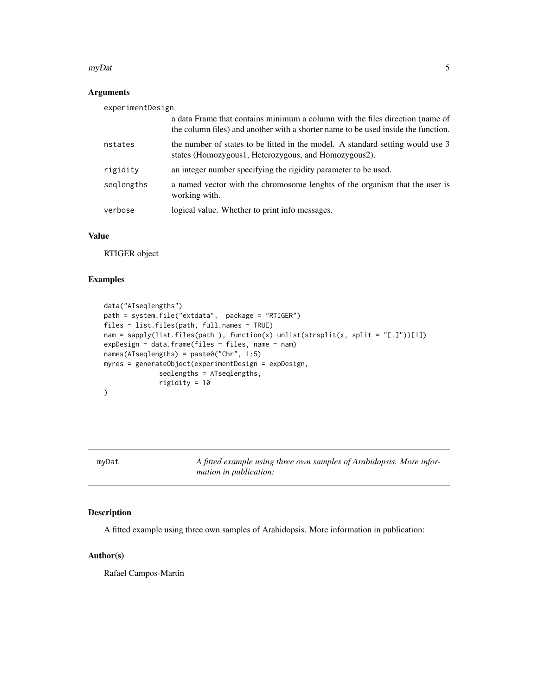#### <span id="page-4-0"></span> $\mu_D$  myDat 5

#### Arguments

| experimentDesign |                                                                                                                                                                    |
|------------------|--------------------------------------------------------------------------------------------------------------------------------------------------------------------|
|                  | a data Frame that contains minimum a column with the files direction (name of<br>the column files) and another with a shorter name to be used inside the function. |
| nstates          | the number of states to be fitted in the model. A standard setting would use 3<br>states (Homozygous1, Heterozygous, and Homozygous2).                             |
| rigidity         | an integer number specifying the rigidity parameter to be used.                                                                                                    |
| seglengths       | a named vector with the chromosome lenghts of the organism that the user is<br>working with.                                                                       |
| verbose          | logical value. Whether to print info messages.                                                                                                                     |

#### Value

RTIGER object

#### Examples

```
data("ATseqlengths")
path = system.file("extdata", package = "RTIGER")
files = list.files(path, full.names = TRUE)
nam = sapply(list.files(path ), function(x) unlist(strsplit(x, split = "[.]"))[1])
expDesign = data.frame(files = files, name = nam)
names(ATseqlengths) = paste0("Chr", 1:5)
myres = generateObject(experimentDesign = expDesign,
              seqlengths = ATseqlengths,
              rigidity = 10
\overline{\phantom{a}}
```
myDat *A fitted example using three own samples of Arabidopsis. More information in publication:*

#### Description

A fitted example using three own samples of Arabidopsis. More information in publication:

#### Author(s)

Rafael Campos-Martin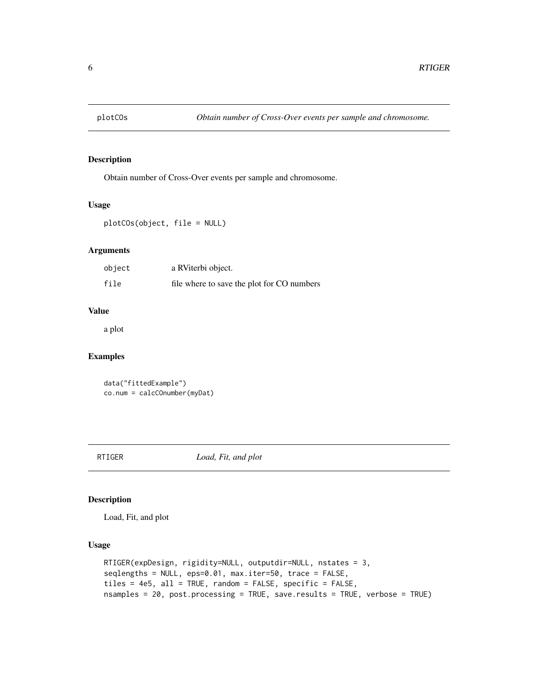<span id="page-5-0"></span>

#### Description

Obtain number of Cross-Over events per sample and chromosome.

#### Usage

plotCOs(object, file = NULL)

#### Arguments

| object | a RViterbi object.                         |
|--------|--------------------------------------------|
| file   | file where to save the plot for CO numbers |

#### Value

a plot

#### Examples

data("fittedExample") co.num = calcCOnumber(myDat)

RTIGER *Load, Fit, and plot*

#### Description

Load, Fit, and plot

#### Usage

```
RTIGER(expDesign, rigidity=NULL, outputdir=NULL, nstates = 3,
seqlengths = NULL, eps=0.01, max.iter=50, trace = FALSE,
tiles = 4e5, all = TRUE, random = FALSE, specific = FALSE,
nsamples = 20, post.processing = TRUE, save.results = TRUE, verbose = TRUE)
```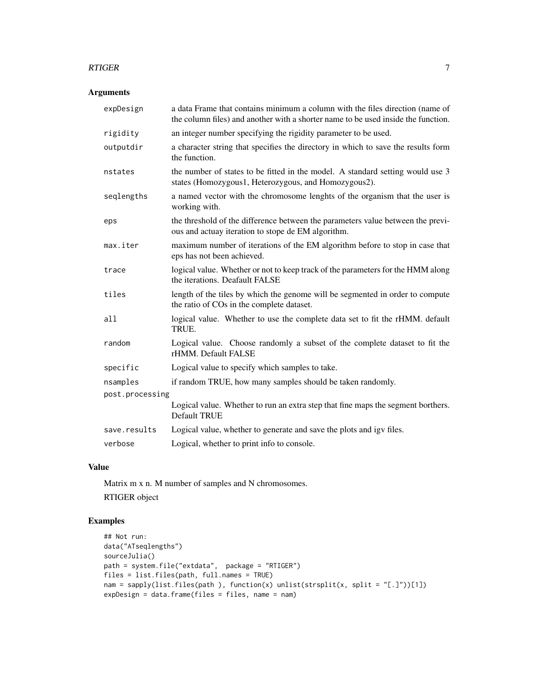#### RTIGER 2008 and 2008 and 2008 and 2008 and 2008 and 2008 and 2008 and 2008 and 2008 and 2008 and 2008 and 2008

#### Arguments

| expDesign       | a data Frame that contains minimum a column with the files direction (name of<br>the column files) and another with a shorter name to be used inside the function. |
|-----------------|--------------------------------------------------------------------------------------------------------------------------------------------------------------------|
| rigidity        | an integer number specifying the rigidity parameter to be used.                                                                                                    |
| outputdir       | a character string that specifies the directory in which to save the results form<br>the function.                                                                 |
| nstates         | the number of states to be fitted in the model. A standard setting would use 3<br>states (Homozygous1, Heterozygous, and Homozygous2).                             |
| seqlengths      | a named vector with the chromosome lenghts of the organism that the user is<br>working with.                                                                       |
| eps             | the threshold of the difference between the parameters value between the previ-<br>ous and actuay iteration to stope de EM algorithm.                              |
| max.iter        | maximum number of iterations of the EM algorithm before to stop in case that<br>eps has not been achieved.                                                         |
| trace           | logical value. Whether or not to keep track of the parameters for the HMM along<br>the iterations. Deafault FALSE                                                  |
| tiles           | length of the tiles by which the genome will be segmented in order to compute<br>the ratio of COs in the complete dataset.                                         |
| a11             | logical value. Whether to use the complete data set to fit the rHMM. default<br>TRUE.                                                                              |
| random          | Logical value. Choose randomly a subset of the complete dataset to fit the<br>rHMM. Default FALSE                                                                  |
| specific        | Logical value to specify which samples to take.                                                                                                                    |
| nsamples        | if random TRUE, how many samples should be taken randomly.                                                                                                         |
| post.processing |                                                                                                                                                                    |
|                 | Logical value. Whether to run an extra step that fine maps the segment borthers.<br>Default TRUE                                                                   |
| save.results    | Logical value, whether to generate and save the plots and igv files.                                                                                               |
| verbose         | Logical, whether to print info to console.                                                                                                                         |

#### Value

Matrix m x n. M number of samples and N chromosomes. RTIGER object

#### Examples

```
## Not run:
data("ATseqlengths")
sourceJulia()
path = system.file("extdata", package = "RTIGER")
files = list.files(path, full.names = TRUE)
nam = sapply(list.files(path ), function(x) unlist(strsplit(x, split = "[.]"))[1])
expDesign = data.frame(files = files, name = nam)
```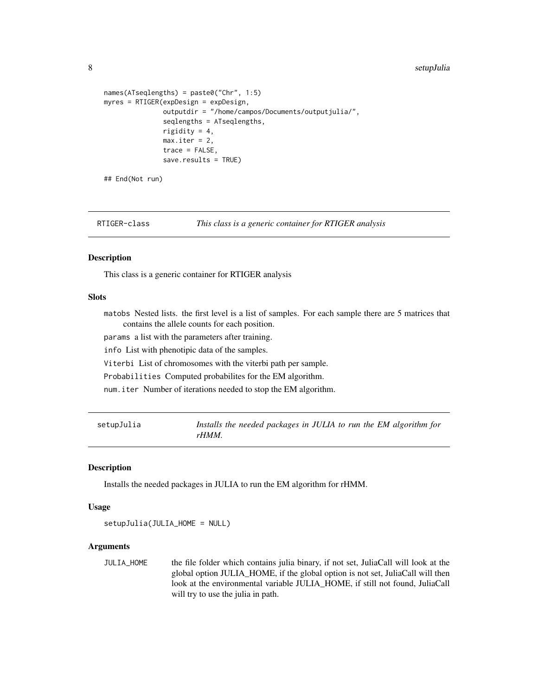#### <span id="page-7-0"></span>8 setupJulia

```
names(ATseqlengths) = paste0("Chr", 1:5)
myres = RTIGER(expDesign = expDesign,
               outputdir = "/home/campos/Documents/outputjulia/",
               seqlengths = ATseqlengths,
               rigidity = 4,
               max.iter = 2,
               trace = FALSE,
               save.results = TRUE)
```
## End(Not run)

RTIGER-class *This class is a generic container for RTIGER analysis*

#### Description

This class is a generic container for RTIGER analysis

#### **Slots**

matobs Nested lists. the first level is a list of samples. For each sample there are 5 matrices that contains the allele counts for each position.

params a list with the parameters after training.

info List with phenotipic data of the samples.

Viterbi List of chromosomes with the viterbi path per sample.

Probabilities Computed probabilites for the EM algorithm.

num.iter Number of iterations needed to stop the EM algorithm.

setupJulia *Installs the needed packages in JULIA to run the EM algorithm for rHMM.*

#### **Description**

Installs the needed packages in JULIA to run the EM algorithm for rHMM.

#### Usage

setupJulia(JULIA\_HOME = NULL)

#### Arguments

JULIA\_HOME the file folder which contains julia binary, if not set, JuliaCall will look at the global option JULIA\_HOME, if the global option is not set, JuliaCall will then look at the environmental variable JULIA\_HOME, if still not found, JuliaCall will try to use the julia in path.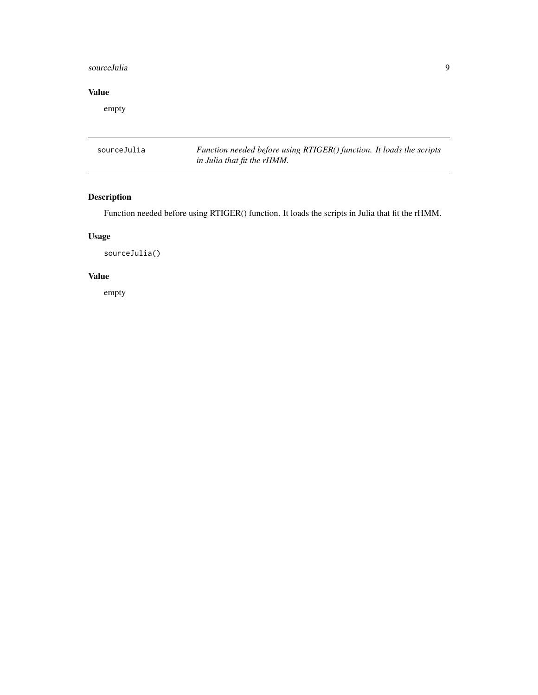#### <span id="page-8-0"></span>sourceJulia 9

#### Value

empty

| sourceJulia | Function needed before using RTIGER() function. It loads the scripts |
|-------------|----------------------------------------------------------------------|
|             | in Julia that fit the rHMM.                                          |

#### Description

Function needed before using RTIGER() function. It loads the scripts in Julia that fit the rHMM.

#### Usage

sourceJulia()

#### Value

empty